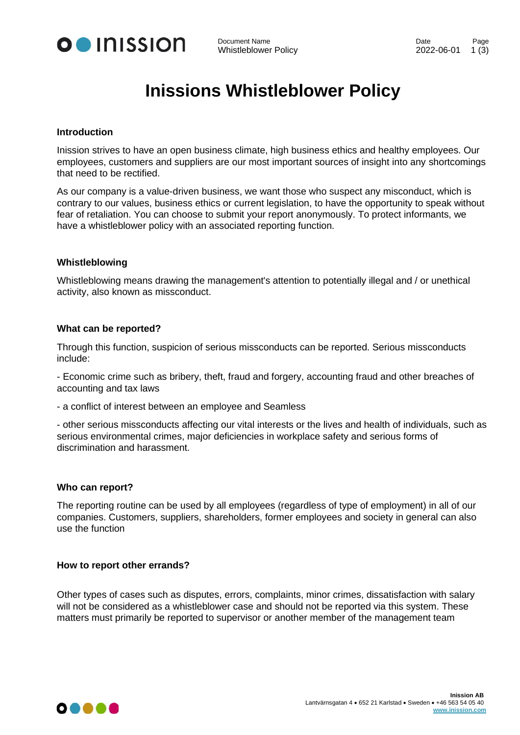

# **Inissions Whistleblower Policy**

#### **Introduction**

Inission strives to have an open business climate, high business ethics and healthy employees. Our employees, customers and suppliers are our most important sources of insight into any shortcomings that need to be rectified.

As our company is a value-driven business, we want those who suspect any misconduct, which is contrary to our values, business ethics or current legislation, to have the opportunity to speak without fear of retaliation. You can choose to submit your report anonymously. To protect informants, we have a whistleblower policy with an associated reporting function.

### **Whistleblowing**

Whistleblowing means drawing the management's attention to potentially illegal and / or unethical activity, also known as missconduct.

### **What can be reported?**

Through this function, suspicion of serious missconducts can be reported. Serious missconducts include:

- Economic crime such as bribery, theft, fraud and forgery, accounting fraud and other breaches of accounting and tax laws

- a conflict of interest between an employee and Seamless

- other serious missconducts affecting our vital interests or the lives and health of individuals, such as serious environmental crimes, major deficiencies in workplace safety and serious forms of discrimination and harassment.

#### **Who can report?**

The reporting routine can be used by all employees (regardless of type of employment) in all of our companies. Customers, suppliers, shareholders, former employees and society in general can also use the function

#### **How to report other errands?**

Other types of cases such as disputes, errors, complaints, minor crimes, dissatisfaction with salary will not be considered as a whistleblower case and should not be reported via this system. These matters must primarily be reported to supervisor or another member of the management team

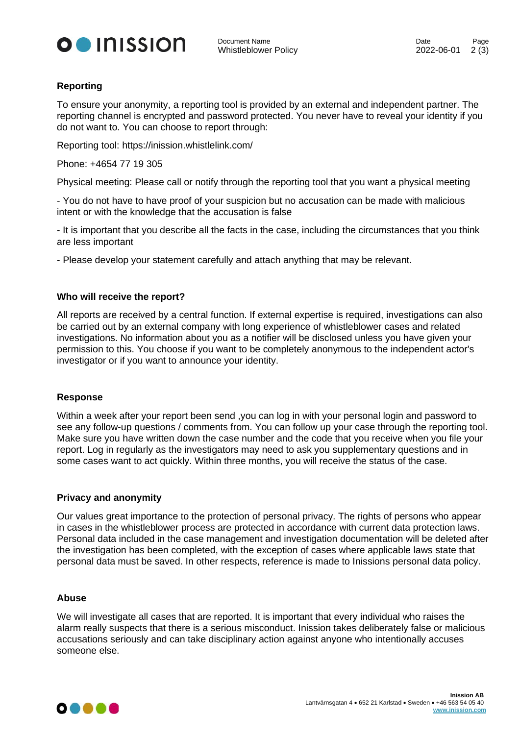

## **Reporting**

To ensure your anonymity, a reporting tool is provided by an external and independent partner. The reporting channel is encrypted and password protected. You never have to reveal your identity if you do not want to. You can choose to report through:

Reporting tool: https://inission.whistlelink.com/

Phone: +4654 77 19 305

Physical meeting: Please call or notify through the reporting tool that you want a physical meeting

- You do not have to have proof of your suspicion but no accusation can be made with malicious intent or with the knowledge that the accusation is false

- It is important that you describe all the facts in the case, including the circumstances that you think are less important

- Please develop your statement carefully and attach anything that may be relevant.

## **Who will receive the report?**

All reports are received by a central function. If external expertise is required, investigations can also be carried out by an external company with long experience of whistleblower cases and related investigations. No information about you as a notifier will be disclosed unless you have given your permission to this. You choose if you want to be completely anonymous to the independent actor's investigator or if you want to announce your identity.

## **Response**

Within a week after your report been send ,you can log in with your personal login and password to see any follow-up questions / comments from. You can follow up your case through the reporting tool. Make sure you have written down the case number and the code that you receive when you file your report. Log in regularly as the investigators may need to ask you supplementary questions and in some cases want to act quickly. Within three months, you will receive the status of the case.

#### **Privacy and anonymity**

Our values great importance to the protection of personal privacy. The rights of persons who appear in cases in the whistleblower process are protected in accordance with current data protection laws. Personal data included in the case management and investigation documentation will be deleted after the investigation has been completed, with the exception of cases where applicable laws state that personal data must be saved. In other respects, reference is made to Inissions personal data policy.

#### **Abuse**

We will investigate all cases that are reported. It is important that every individual who raises the alarm really suspects that there is a serious misconduct. Inission takes deliberately false or malicious accusations seriously and can take disciplinary action against anyone who intentionally accuses someone else.